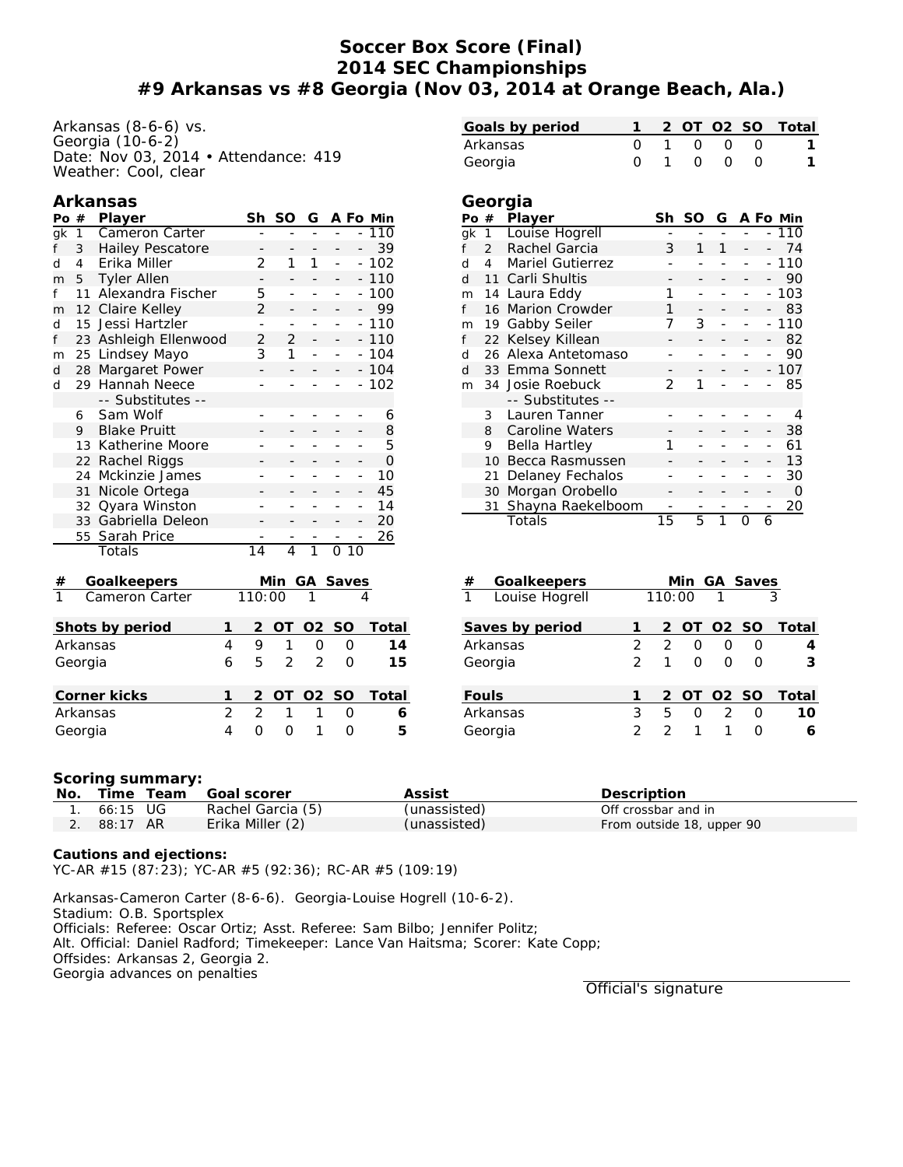## **Soccer Box Score (Final) 2014 SEC Championships #9 Arkansas vs #8 Georgia (Nov 03, 2014 at Orange Beach, Ala.)**

Arkansas (8-6-6) vs. Georgia (10-6-2) Date: Nov 03, 2014 • Attendance: 419 Weather: Cool, clear

## **Arkansas**

| Po                         | #            | Player                  |   | Sh             | <b>SO</b>      | G              |                |                | A Fo Min |
|----------------------------|--------------|-------------------------|---|----------------|----------------|----------------|----------------|----------------|----------|
| gk                         | $\mathbf{1}$ | Cameron Carter          |   |                | L,             |                |                |                | 110      |
| f                          | 3            | <b>Hailey Pescatore</b> |   | -              | -              | -              | $\overline{a}$ |                | 39       |
| d                          | 4            | Erika Miller            |   | 2              | 1              | 1              | ÷,             | $\overline{a}$ | 102      |
| m                          | 5            | <b>Tyler Allen</b>      |   |                |                |                |                |                | $-110$   |
| f                          | 11           | Alexandra Fischer       |   | 5              | L,             | L              | -              |                | 100      |
| m                          | 12           | Claire Kelley           |   | 2              |                | -              | -              |                | 99       |
| d                          | 15           | Jessi Hartzler          |   | ÷              | ÷              | $\overline{a}$ | ÷              |                | 110      |
| f                          | 23           | Ashleigh Ellenwood      |   | $\overline{2}$ | $\overline{2}$ |                |                |                | 110      |
| m                          | 25           | Lindsey Mayo            |   | 3              | 1              |                |                |                | 104      |
| d                          | 28           | Margaret Power          |   | -              |                |                |                |                | 104      |
| d                          | 29           | Hannah Neece            |   | -              |                | -              | L,             |                | 102      |
|                            |              | -- Substitutes --       |   |                |                |                |                |                |          |
|                            | 6            | Sam Wolf                |   |                |                |                |                |                | 6        |
|                            | 9            | <b>Blake Pruitt</b>     |   |                |                |                |                |                | 8        |
|                            | 13           | Katherine Moore         |   |                |                |                |                |                | 5        |
|                            | 22           | Rachel Riggs            |   |                |                |                | $\overline{a}$ |                | 0        |
|                            | 24           | Mckinzie James          |   |                |                |                | L,             | $\overline{a}$ | 10       |
|                            | 31           | Nicole Ortega           |   |                |                |                |                |                | 45       |
|                            | 32           | Qyara Winston           |   |                |                |                |                |                | 14       |
|                            | 33           | Gabriella Deleon        |   |                |                |                | $\overline{a}$ |                | 20       |
|                            | 55           | Sarah Price             |   |                |                |                |                |                | 26       |
|                            |              | Totals                  |   | 14             | $\overline{4}$ | $\overline{1}$ | $\Omega$       | 10             |          |
| #                          |              | Goalkeepers             |   |                | Min            | GA Saves       |                |                |          |
|                            |              | Cameron Carter          |   |                | 110:00         | 1              |                |                |          |
|                            |              | Shots by period         | 1 | $\overline{c}$ | ОT             | O <sub>2</sub> | <b>SO</b>      |                | Total    |
|                            |              |                         |   | 9              | 1              |                |                |                |          |
| 4<br>Arkansas              |              |                         |   |                |                | $\Omega$       | 0              |                | 14       |
|                            | Georgia      |                         | 6 | 5              | $\overline{2}$ | 2              | 0              |                | 15       |
|                            |              | Corner kicks            | 1 | 2              | ОT             | O2             | <b>SO</b>      |                | Total    |
| $\overline{2}$<br>Arkansas |              |                         |   | $\overline{2}$ | 1              | 1              | 0              |                | 6        |

|      |                | Georgia                 |    |    |   |   |   |          |
|------|----------------|-------------------------|----|----|---|---|---|----------|
| Po # |                | Player                  | Sh | SO | G |   |   | A Fo Min |
| gk   | 1              | Louise Hogrell          |    |    |   |   |   | 110      |
| f    | $\mathcal{P}$  | Rachel Garcia           | 3  | 1  | 1 |   |   | 74       |
| d    | $\overline{4}$ | <b>Mariel Gutierrez</b> |    |    |   |   |   | 110      |
| d    | 11             | Carli Shultis           |    |    |   |   |   | 90       |
| m    | 14             | Laura Eddy              | 1  |    |   |   |   | 103      |
| f    | 16             | Marion Crowder          | 1  |    |   |   |   | 83       |
| m    | 19             | Gabby Seiler            | 7  | 3  |   |   |   | 110      |
| f    | 22             | Kelsey Killean          |    |    |   |   |   | 82       |
| d    | 26             | Alexa Antetomaso        |    |    |   |   |   | 90       |
| d    | 33             | Emma Sonnett            |    |    |   |   |   | 107      |
| m    |                | 34 Josie Roebuck        | 2  |    |   |   |   | 85       |
|      |                | -- Substitutes --       |    |    |   |   |   |          |
|      | 3              | Lauren Tanner           |    |    |   |   |   | 4        |
|      | 8              | Caroline Waters         |    |    |   |   |   | 38       |
|      | 9              | Bella Hartley           | 1  |    |   |   |   | 61       |
|      | 10             | Becca Rasmussen         |    |    |   |   |   | 13       |
|      | 21             | Delaney Fechalos        |    |    |   |   |   | 30       |
|      | 30             | Morgan Orobello         |    |    |   |   |   | $\Omega$ |
|      | 31             | Shayna Raekelboom       |    |    |   |   |   | 20       |
|      |                | Totals                  | 15 | 5  | 1 | Ω | 6 |          |

**Goals by period 1 2 OT O2 SO Total** Arkansas 0 1 0 0 0 **1** Georgia 0 1 0 0 0 **1**

| #<br>Goalkeepers               | Min GA Saves  |               |            |                |   |       |  |
|--------------------------------|---------------|---------------|------------|----------------|---|-------|--|
| $\mathbf{1}$<br>Louise Hogrell |               | 110:00        |            | $\overline{1}$ |   | 3     |  |
| Saves by period                |               |               | 2 OT 02 SO |                |   | Total |  |
| Arkansas                       | $\mathcal{P}$ | $\mathcal{P}$ | O          | O              | O |       |  |
| Georgia                        | $\mathcal{P}$ |               | O          | O              | O | 3     |  |
| Fouls                          |               |               | 2 OT 02 SO |                |   | Total |  |
| Arkansas                       | 3             | 5             | O          | $\mathcal{P}$  | O | 10    |  |
| Georgia                        | $\mathcal{P}$ |               |            |                |   | 6     |  |

## **Scoring summary:**

| No. |          | Time Team | Goal scorer       | Assist       | Description               |
|-----|----------|-----------|-------------------|--------------|---------------------------|
|     | 66:15 UG |           | Rachel Garcia (5) | (unassisted) | Off crossbar and in       |
|     | 88:17 AR |           | Erika Miller (2)  | (unassisted) | From outside 18, upper 90 |

**Cautions and ejections:** YC-AR #15 (87:23); YC-AR #5 (92:36); RC-AR #5 (109:19)

Georgia 4 0 0 1 0 **5**

Arkansas-Cameron Carter (8-6-6). Georgia-Louise Hogrell (10-6-2). Stadium: O.B. Sportsplex Officials: Referee: Oscar Ortiz; Asst. Referee: Sam Bilbo; Jennifer Politz; Alt. Official: Daniel Radford; Timekeeper: Lance Van Haitsma; Scorer: Kate Copp; Offsides: Arkansas 2, Georgia 2. Georgia advances on penalties

Official's signature